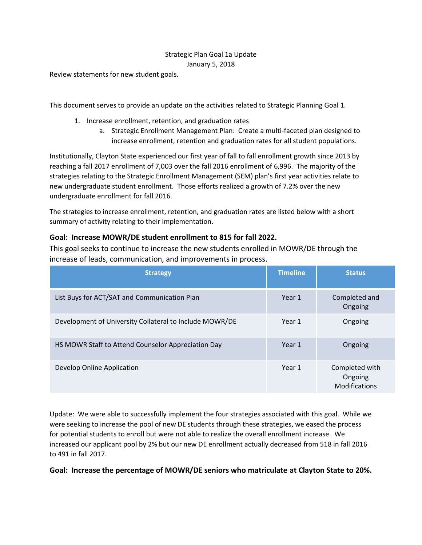# Strategic Plan Goal 1a Update January 5, 2018

Review statements for new student goals.

This document serves to provide an update on the activities related to Strategic Planning Goal 1.

- 1. Increase enrollment, retention, and graduation rates
	- a. Strategic Enrollment Management Plan: Create a multi-faceted plan designed to increase enrollment, retention and graduation rates for all student populations.

Institutionally, Clayton State experienced our first year of fall to fall enrollment growth since 2013 by reaching a fall 2017 enrollment of 7,003 over the fall 2016 enrollment of 6,996. The majority of the strategies relating to the Strategic Enrollment Management (SEM) plan's first year activities relate to new undergraduate student enrollment. Those efforts realized a growth of 7.2% over the new undergraduate enrollment for fall 2016.

The strategies to increase enrollment, retention, and graduation rates are listed below with a short summary of activity relating to their implementation.

## **Goal: Increase MOWR/DE student enrollment to 815 for fall 2022.**

This goal seeks to continue to increase the new students enrolled in MOWR/DE through the increase of leads, communication, and improvements in process.

| <b>Strategy</b>                                         | <b>Timeline</b> | <b>Status</b>                              |
|---------------------------------------------------------|-----------------|--------------------------------------------|
| List Buys for ACT/SAT and Communication Plan            | Year 1          | Completed and<br>Ongoing                   |
| Development of University Collateral to Include MOWR/DE | Year 1          | Ongoing                                    |
| HS MOWR Staff to Attend Counselor Appreciation Day      | Year 1          | Ongoing                                    |
| Develop Online Application                              | Year 1          | Completed with<br>Ongoing<br>Modifications |

Update: We were able to successfully implement the four strategies associated with this goal. While we were seeking to increase the pool of new DE students through these strategies, we eased the process for potential students to enroll but were not able to realize the overall enrollment increase. We increased our applicant pool by 2% but our new DE enrollment actually decreased from 518 in fall 2016 to 491 in fall 2017.

## **Goal: Increase the percentage of MOWR/DE seniors who matriculate at Clayton State to 20%.**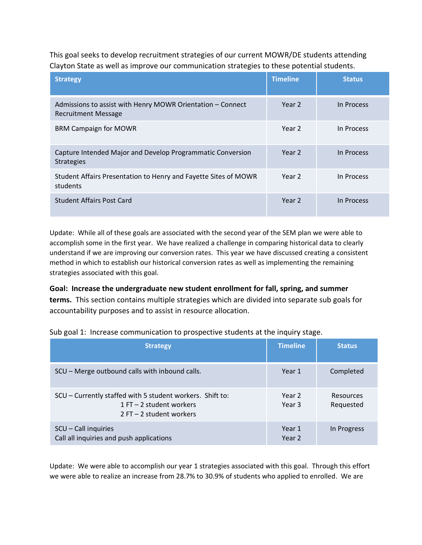This goal seeks to develop recruitment strategies of our current MOWR/DE students attending Clayton State as well as improve our communication strategies to these potential students.

| <b>Strategy</b>                                                                          | <b>Timeline</b> | <b>Status</b> |
|------------------------------------------------------------------------------------------|-----------------|---------------|
| Admissions to assist with Henry MOWR Orientation - Connect<br><b>Recruitment Message</b> | Year 2          | In Process    |
| <b>BRM Campaign for MOWR</b>                                                             | Year 2          | In Process    |
| Capture Intended Major and Develop Programmatic Conversion<br><b>Strategies</b>          | Year 2          | In Process    |
| Student Affairs Presentation to Henry and Fayette Sites of MOWR<br>students              | Year 2          | In Process    |
| <b>Student Affairs Post Card</b>                                                         | Year 2          | In Process    |

Update: While all of these goals are associated with the second year of the SEM plan we were able to accomplish some in the first year. We have realized a challenge in comparing historical data to clearly understand if we are improving our conversion rates. This year we have discussed creating a consistent method in which to establish our historical conversion rates as well as implementing the remaining strategies associated with this goal.

**Goal: Increase the undergraduate new student enrollment for fall, spring, and summer terms.** This section contains multiple strategies which are divided into separate sub goals for accountability purposes and to assist in resource allocation.

| Sub goal 1: Increase communication to prospective students at the inquiry stage. |  |  |
|----------------------------------------------------------------------------------|--|--|
|                                                                                  |  |  |

| <b>Strategy</b>                                                                                                       | <b>Timeline</b>             | <b>Status</b>                 |
|-----------------------------------------------------------------------------------------------------------------------|-----------------------------|-------------------------------|
| SCU - Merge outbound calls with inbound calls.                                                                        | Year 1                      | Completed                     |
| SCU – Currently staffed with 5 student workers. Shift to:<br>$1 FT - 2$ student workers<br>$2 FT - 2 student workers$ | Year 2<br>Year <sub>3</sub> | <b>Resources</b><br>Requested |
| SCU - Call inquiries<br>Call all inquiries and push applications                                                      | Year 1<br>Year 2            | In Progress                   |

Update: We were able to accomplish our year 1 strategies associated with this goal. Through this effort we were able to realize an increase from 28.7% to 30.9% of students who applied to enrolled. We are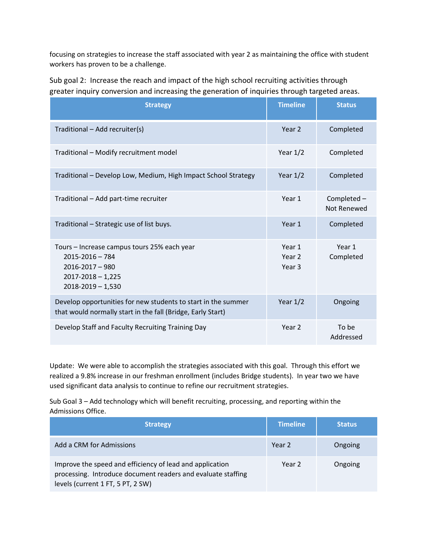focusing on strategies to increase the staff associated with year 2 as maintaining the office with student workers has proven to be a challenge.

| Sub goal 2: Increase the reach and impact of the high school recruiting activities through    |
|-----------------------------------------------------------------------------------------------|
| greater inquiry conversion and increasing the generation of inquiries through targeted areas. |

| <b>Strategy</b>                                                                                                                             | <b>Timeline</b>            | <b>Status</b>              |
|---------------------------------------------------------------------------------------------------------------------------------------------|----------------------------|----------------------------|
| Traditional - Add recruiter(s)                                                                                                              | Year 2                     | Completed                  |
| Traditional - Modify recruitment model                                                                                                      | Year $1/2$                 | Completed                  |
| Traditional - Develop Low, Medium, High Impact School Strategy                                                                              | Year $1/2$                 | Completed                  |
| Traditional - Add part-time recruiter                                                                                                       | Year 1                     | Completed -<br>Not Renewed |
| Traditional – Strategic use of list buys.                                                                                                   | Year 1                     | Completed                  |
| Tours - Increase campus tours 25% each year<br>$2015 - 2016 - 784$<br>$2016 - 2017 - 980$<br>$2017 - 2018 - 1,225$<br>$2018 - 2019 - 1,530$ | Year 1<br>Year 2<br>Year 3 | Year 1<br>Completed        |
| Develop opportunities for new students to start in the summer<br>that would normally start in the fall (Bridge, Early Start)                | Year $1/2$                 | Ongoing                    |
| Develop Staff and Faculty Recruiting Training Day                                                                                           | Year <sub>2</sub>          | To be<br>Addressed         |

Update: We were able to accomplish the strategies associated with this goal. Through this effort we realized a 9.8% increase in our freshman enrollment (includes Bridge students). In year two we have used significant data analysis to continue to refine our recruitment strategies.

Sub Goal 3 – Add technology which will benefit recruiting, processing, and reporting within the Admissions Office.

| <b>Strategy</b>                                                                                                                                               | <b>Timeline</b> | <b>Status</b> |
|---------------------------------------------------------------------------------------------------------------------------------------------------------------|-----------------|---------------|
| Add a CRM for Admissions                                                                                                                                      | Year 2          | Ongoing       |
| Improve the speed and efficiency of lead and application<br>processing. Introduce document readers and evaluate staffing<br>levels (current 1 FT, 5 PT, 2 SW) | Year 2          | Ongoing       |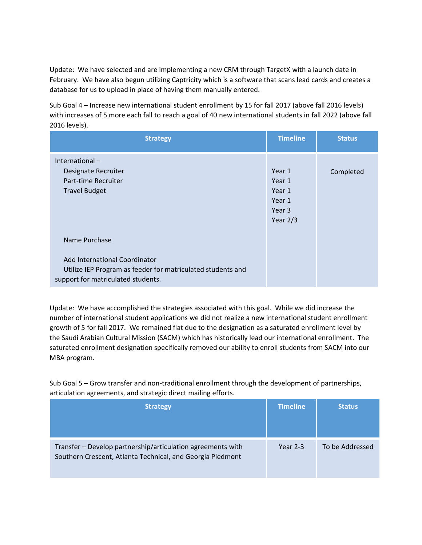Update: We have selected and are implementing a new CRM through TargetX with a launch date in February. We have also begun utilizing Captricity which is a software that scans lead cards and creates a database for us to upload in place of having them manually entered.

Sub Goal 4 – Increase new international student enrollment by 15 for fall 2017 (above fall 2016 levels) with increases of 5 more each fall to reach a goal of 40 new international students in fall 2022 (above fall 2016 levels).

| <b>Strategy</b>                                                                                                                                     | <b>Timeline</b>                                                         | <b>Status</b> |
|-----------------------------------------------------------------------------------------------------------------------------------------------------|-------------------------------------------------------------------------|---------------|
| International $-$<br>Designate Recruiter<br>Part-time Recruiter<br><b>Travel Budget</b>                                                             | Year 1<br>Year 1<br>Year 1<br>Year 1<br>Year <sub>3</sub><br>Year $2/3$ | Completed     |
| Name Purchase<br>Add International Coordinator<br>Utilize IEP Program as feeder for matriculated students and<br>support for matriculated students. |                                                                         |               |

Update: We have accomplished the strategies associated with this goal. While we did increase the number of international student applications we did not realize a new international student enrollment growth of 5 for fall 2017. We remained flat due to the designation as a saturated enrollment level by the Saudi Arabian Cultural Mission (SACM) which has historically lead our international enrollment. The saturated enrollment designation specifically removed our ability to enroll students from SACM into our MBA program.

Sub Goal 5 – Grow transfer and non-traditional enrollment through the development of partnerships, articulation agreements, and strategic direct mailing efforts.

| <b>Strategy</b>                                                                                                           | <b>Timeline</b> | <b>Status</b>   |
|---------------------------------------------------------------------------------------------------------------------------|-----------------|-----------------|
| Transfer - Develop partnership/articulation agreements with<br>Southern Crescent, Atlanta Technical, and Georgia Piedmont | Year $2-3$      | To be Addressed |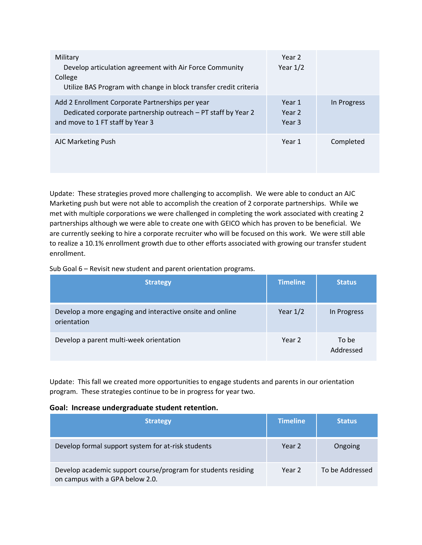| Military<br>Develop articulation agreement with Air Force Community<br>College<br>Utilize BAS Program with change in block transfer credit criteria   | Year 2<br>Year $1/2$                             |             |
|-------------------------------------------------------------------------------------------------------------------------------------------------------|--------------------------------------------------|-------------|
| Add 2 Enrollment Corporate Partnerships per year<br>Dedicated corporate partnership outreach - PT staff by Year 2<br>and move to 1 FT staff by Year 3 | Year 1<br>Year <sub>2</sub><br>Year <sub>3</sub> | In Progress |
| <b>AJC Marketing Push</b>                                                                                                                             | Year 1                                           | Completed   |

Update: These strategies proved more challenging to accomplish. We were able to conduct an AJC Marketing push but were not able to accomplish the creation of 2 corporate partnerships. While we met with multiple corporations we were challenged in completing the work associated with creating 2 partnerships although we were able to create one with GEICO which has proven to be beneficial. We are currently seeking to hire a corporate recruiter who will be focused on this work. We were still able to realize a 10.1% enrollment growth due to other efforts associated with growing our transfer student enrollment.

Sub Goal 6 – Revisit new student and parent orientation programs.

| <b>Strategy</b>                                                          | <b>Timeline</b> | <b>Status</b>      |
|--------------------------------------------------------------------------|-----------------|--------------------|
| Develop a more engaging and interactive onsite and online<br>orientation | Year $1/2$      | In Progress        |
| Develop a parent multi-week orientation                                  | Year 2          | To be<br>Addressed |

Update: This fall we created more opportunities to engage students and parents in our orientation program. These strategies continue to be in progress for year two.

#### **Goal: Increase undergraduate student retention.**

| <b>Strategy</b>                                                                                  | <b>Timeline</b> | <b>Status</b>   |
|--------------------------------------------------------------------------------------------------|-----------------|-----------------|
| Develop formal support system for at-risk students                                               | Year 2          | Ongoing         |
| Develop academic support course/program for students residing<br>on campus with a GPA below 2.0. | Year 2          | To be Addressed |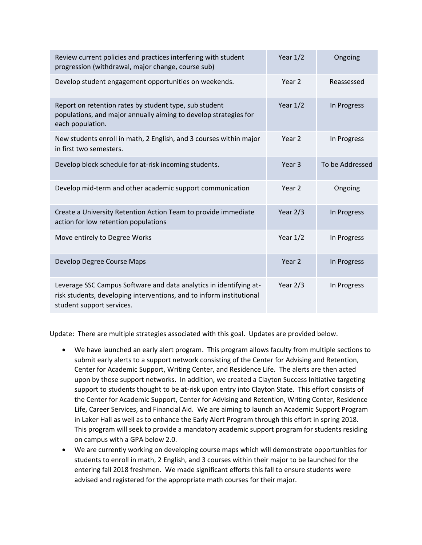| Review current policies and practices interfering with student<br>progression (withdrawal, major change, course sub)                                                    | Year $1/2$        | Ongoing         |
|-------------------------------------------------------------------------------------------------------------------------------------------------------------------------|-------------------|-----------------|
| Develop student engagement opportunities on weekends.                                                                                                                   | Year 2            | Reassessed      |
| Report on retention rates by student type, sub student<br>populations, and major annually aiming to develop strategies for<br>each population.                          | Year $1/2$        | In Progress     |
| New students enroll in math, 2 English, and 3 courses within major<br>in first two semesters.                                                                           | Year 2            | In Progress     |
| Develop block schedule for at-risk incoming students.                                                                                                                   | Year <sub>3</sub> | To be Addressed |
| Develop mid-term and other academic support communication                                                                                                               | Year 2            | Ongoing         |
| Create a University Retention Action Team to provide immediate<br>action for low retention populations                                                                  | Year $2/3$        | In Progress     |
| Move entirely to Degree Works                                                                                                                                           | Year $1/2$        | In Progress     |
| Develop Degree Course Maps                                                                                                                                              | Year <sub>2</sub> | In Progress     |
| Leverage SSC Campus Software and data analytics in identifying at-<br>risk students, developing interventions, and to inform institutional<br>student support services. | Year $2/3$        | In Progress     |

Update: There are multiple strategies associated with this goal. Updates are provided below.

- We have launched an early alert program. This program allows faculty from multiple sections to submit early alerts to a support network consisting of the Center for Advising and Retention, Center for Academic Support, Writing Center, and Residence Life. The alerts are then acted upon by those support networks. In addition, we created a Clayton Success Initiative targeting support to students thought to be at-risk upon entry into Clayton State. This effort consists of the Center for Academic Support, Center for Advising and Retention, Writing Center, Residence Life, Career Services, and Financial Aid. We are aiming to launch an Academic Support Program in Laker Hall as well as to enhance the Early Alert Program through this effort in spring 2018. This program will seek to provide a mandatory academic support program for students residing on campus with a GPA below 2.0.
- We are currently working on developing course maps which will demonstrate opportunities for students to enroll in math, 2 English, and 3 courses within their major to be launched for the entering fall 2018 freshmen. We made significant efforts this fall to ensure students were advised and registered for the appropriate math courses for their major.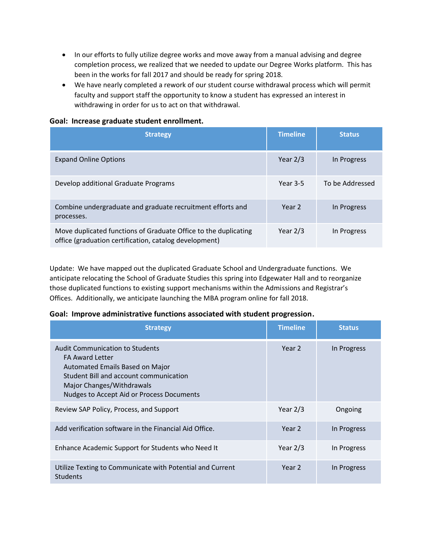- In our efforts to fully utilize degree works and move away from a manual advising and degree completion process, we realized that we needed to update our Degree Works platform. This has been in the works for fall 2017 and should be ready for spring 2018.
- We have nearly completed a rework of our student course withdrawal process which will permit faculty and support staff the opportunity to know a student has expressed an interest in withdrawing in order for us to act on that withdrawal.

### **Goal: Increase graduate student enrollment.**

| <b>Strategy</b>                                                                                                           | <b>Timeline</b> | <b>Status</b>   |
|---------------------------------------------------------------------------------------------------------------------------|-----------------|-----------------|
| <b>Expand Online Options</b>                                                                                              | Year $2/3$      | In Progress     |
| Develop additional Graduate Programs                                                                                      | Year $3-5$      | To be Addressed |
| Combine undergraduate and graduate recruitment efforts and<br>processes.                                                  | Year 2          | In Progress     |
| Move duplicated functions of Graduate Office to the duplicating<br>office (graduation certification, catalog development) | Year $2/3$      | In Progress     |

Update: We have mapped out the duplicated Graduate School and Undergraduate functions. We anticipate relocating the School of Graduate Studies this spring into Edgewater Hall and to reorganize those duplicated functions to existing support mechanisms within the Admissions and Registrar's Offices. Additionally, we anticipate launching the MBA program online for fall 2018.

## **Goal: Improve administrative functions associated with student progression.**

| <b>Strategy</b>                                                                                                                                                                                                         | <b>Timeline</b>   | <b>Status</b> |
|-------------------------------------------------------------------------------------------------------------------------------------------------------------------------------------------------------------------------|-------------------|---------------|
| <b>Audit Communication to Students</b><br><b>FA Award Letter</b><br>Automated Emails Based on Major<br>Student Bill and account communication<br>Major Changes/Withdrawals<br>Nudges to Accept Aid or Process Documents | Year 2            | In Progress   |
| Review SAP Policy, Process, and Support                                                                                                                                                                                 | Year $2/3$        | Ongoing       |
| Add verification software in the Financial Aid Office.                                                                                                                                                                  | Year <sub>2</sub> | In Progress   |
| Enhance Academic Support for Students who Need It                                                                                                                                                                       | Year $2/3$        | In Progress   |
| Utilize Texting to Communicate with Potential and Current<br><b>Students</b>                                                                                                                                            | Year 2            | In Progress   |